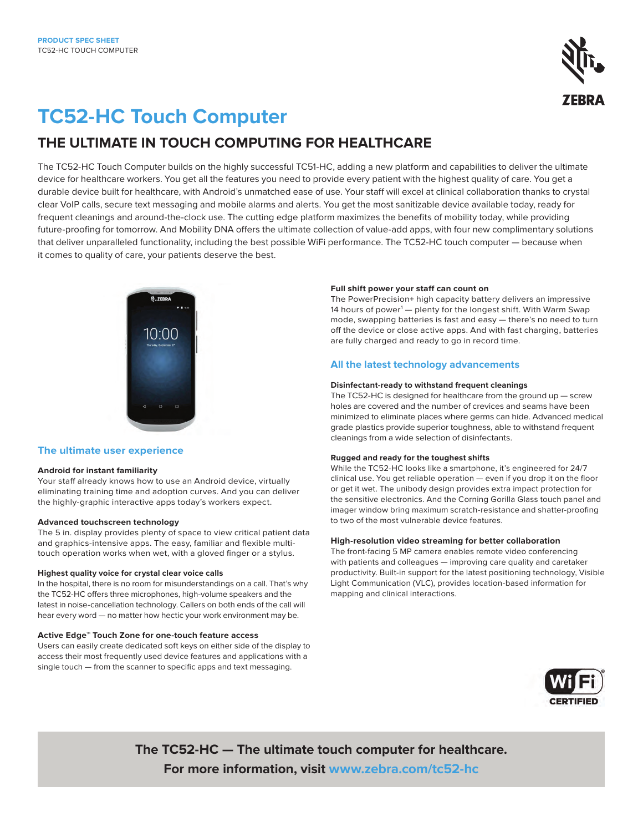

# **TC52-HC Touch Computer**

# **THE ULTIMATE IN TOUCH COMPUTING FOR HEALTHCARE**

The TC52-HC Touch Computer builds on the highly successful TC51-HC, adding a new platform and capabilities to deliver the ultimate device for healthcare workers. You get all the features you need to provide every patient with the highest quality of care. You get a durable device built for healthcare, with Android's unmatched ease of use. Your staff will excel at clinical collaboration thanks to crystal clear VoIP calls, secure text messaging and mobile alarms and alerts. You get the most sanitizable device available today, ready for frequent cleanings and around-the-clock use. The cutting edge platform maximizes the benefits of mobility today, while providing future-proofing for tomorrow. And Mobility DNA offers the ultimate collection of value-add apps, with four new complimentary solutions that deliver unparalleled functionality, including the best possible WiFi performance. The TC52-HC touch computer — because when it comes to quality of care, your patients deserve the best.



### **The ultimate user experience**

### **Android for instant familiarity**

Your staff already knows how to use an Android device, virtually eliminating training time and adoption curves. And you can deliver the highly-graphic interactive apps today's workers expect.

### **Advanced touchscreen technology**

The 5 in. display provides plenty of space to view critical patient data and graphics-intensive apps. The easy, familiar and flexible multitouch operation works when wet, with a gloved finger or a stylus.

### **Highest quality voice for crystal clear voice calls**

In the hospital, there is no room for misunderstandings on a call. That's why the TC52-HC offers three microphones, high-volume speakers and the latest in noise-cancellation technology. Callers on both ends of the call will hear every word — no matter how hectic your work environment may be.

### **Active Edge™ Touch Zone for one-touch feature access**

Users can easily create dedicated soft keys on either side of the display to access their most frequently used device features and applications with a single touch — from the scanner to specific apps and text messaging.

### **Full shift power your staff can count on**

The PowerPrecision+ high capacity battery delivers an impressive 14 hours of power<sup>1</sup> — plenty for the longest shift. With Warm Swap mode, swapping batteries is fast and easy — there's no need to turn off the device or close active apps. And with fast charging, batteries are fully charged and ready to go in record time.

### **All the latest technology advancements**

### **Disinfectant-ready to withstand frequent cleanings**

The TC52-HC is designed for healthcare from the ground up — screw holes are covered and the number of crevices and seams have been minimized to eliminate places where germs can hide. Advanced medical grade plastics provide superior toughness, able to withstand frequent cleanings from a wide selection of disinfectants.

### **Rugged and ready for the toughest shifts**

While the TC52-HC looks like a smartphone, it's engineered for 24/7 clinical use. You get reliable operation — even if you drop it on the floor or get it wet. The unibody design provides extra impact protection for the sensitive electronics. And the Corning Gorilla Glass touch panel and imager window bring maximum scratch-resistance and shatter-proofing to two of the most vulnerable device features.

### **High-resolution video streaming for better collaboration**

The front-facing 5 MP camera enables remote video conferencing with patients and colleagues — improving care quality and caretaker productivity. Built-in support for the latest positioning technology, Visible Light Communication (VLC), provides location-based information for mapping and clinical interactions.



**The TC52-HC — The ultimate touch computer for healthcare. For more information, visit [www.zebra.com/tc52](http://www.zebra.com/tc52-hc)-hc**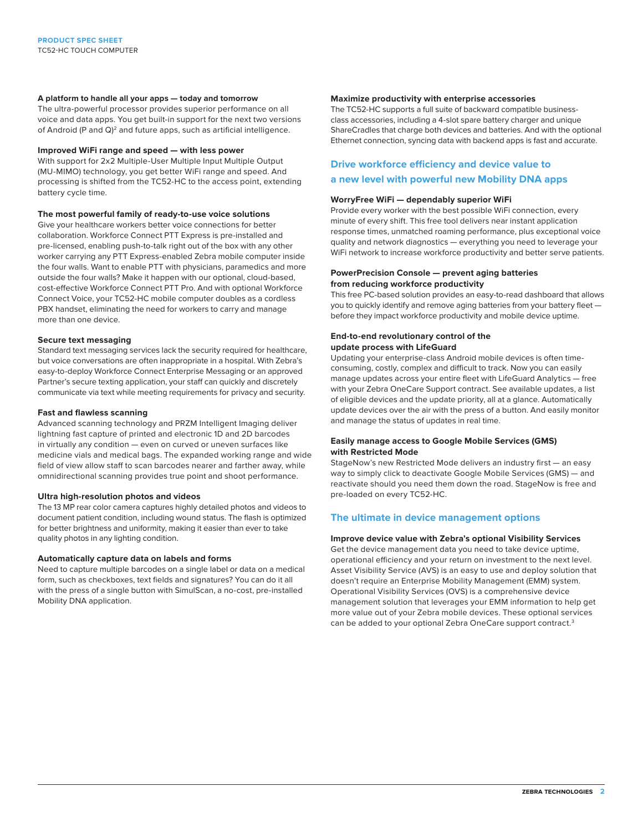### **A platform to handle all your apps — today and tomorrow**

The ultra-powerful processor provides superior performance on all voice and data apps. You get built-in support for the next two versions of Android (P and Q)<sup>2</sup> and future apps, such as artificial intelligence.

### **Improved WiFi range and speed — with less power**

With support for 2x2 Multiple-User Multiple Input Multiple Output (MU-MIMO) technology, you get better WiFi range and speed. And processing is shifted from the TC52-HC to the access point, extending battery cycle time.

### **The most powerful family of ready-to-use voice solutions**

Give your healthcare workers better voice connections for better collaboration. Workforce Connect PTT Express is pre-installed and pre-licensed, enabling push-to-talk right out of the box with any other worker carrying any PTT Express-enabled Zebra mobile computer inside the four walls. Want to enable PTT with physicians, paramedics and more outside the four walls? Make it happen with our optional, cloud-based, cost-effective Workforce Connect PTT Pro. And with optional Workforce Connect Voice, your TC52-HC mobile computer doubles as a cordless PBX handset, eliminating the need for workers to carry and manage more than one device.

### **Secure text messaging**

Standard text messaging services lack the security required for healthcare, but voice conversations are often inappropriate in a hospital. With Zebra's easy-to-deploy Workforce Connect Enterprise Messaging or an approved Partner's secure texting application, your staff can quickly and discretely communicate via text while meeting requirements for privacy and security.

### **Fast and flawless scanning**

Advanced scanning technology and PRZM Intelligent Imaging deliver lightning fast capture of printed and electronic 1D and 2D barcodes in virtually any condition — even on curved or uneven surfaces like medicine vials and medical bags. The expanded working range and wide field of view allow staff to scan barcodes nearer and farther away, while omnidirectional scanning provides true point and shoot performance.

### **Ultra high-resolution photos and videos**

The 13 MP rear color camera captures highly detailed photos and videos to document patient condition, including wound status. The flash is optimized for better brightness and uniformity, making it easier than ever to take quality photos in any lighting condition.

### **Automatically capture data on labels and forms**

Need to capture multiple barcodes on a single label or data on a medical form, such as checkboxes, text fields and signatures? You can do it all with the press of a single button with SimulScan, a no-cost, pre-installed Mobility DNA application.

### **Maximize productivity with enterprise accessories**

The TC52-HC supports a full suite of backward compatible businessclass accessories, including a 4-slot spare battery charger and unique ShareCradles that charge both devices and batteries. And with the optional Ethernet connection, syncing data with backend apps is fast and accurate.

# **Drive workforce efficiency and device value to a new level with powerful new Mobility DNA apps**

### **WorryFree WiFi — dependably superior WiFi**

Provide every worker with the best possible WiFi connection, every minute of every shift. This free tool delivers near instant application response times, unmatched roaming performance, plus exceptional voice quality and network diagnostics — everything you need to leverage your WiFi network to increase workforce productivity and better serve patients.

### **PowerPrecision Console — prevent aging batteries from reducing workforce productivity**

This free PC-based solution provides an easy-to-read dashboard that allows you to quickly identify and remove aging batteries from your battery fleet before they impact workforce productivity and mobile device uptime.

### **End-to-end revolutionary control of the update process with LifeGuard**

Updating your enterprise-class Android mobile devices is often timeconsuming, costly, complex and difficult to track. Now you can easily manage updates across your entire fleet with LifeGuard Analytics — free with your Zebra OneCare Support contract. See available updates, a list of eligible devices and the update priority, all at a glance. Automatically update devices over the air with the press of a button. And easily monitor and manage the status of updates in real time.

### **Easily manage access to Google Mobile Services (GMS) with Restricted Mode**

StageNow's new Restricted Mode delivers an industry first — an easy way to simply click to deactivate Google Mobile Services (GMS) — and reactivate should you need them down the road. StageNow is free and pre-loaded on every TC52-HC.

## **The ultimate in device management options**

### **Improve device value with Zebra's optional Visibility Services**

Get the device management data you need to take device uptime, operational efficiency and your return on investment to the next level. Asset Visibility Service (AVS) is an easy to use and deploy solution that doesn't require an Enterprise Mobility Management (EMM) system. Operational Visibility Services (OVS) is a comprehensive device management solution that leverages your EMM information to help get more value out of your Zebra mobile devices. These optional services can be added to your optional Zebra OneCare support contract.<sup>3</sup>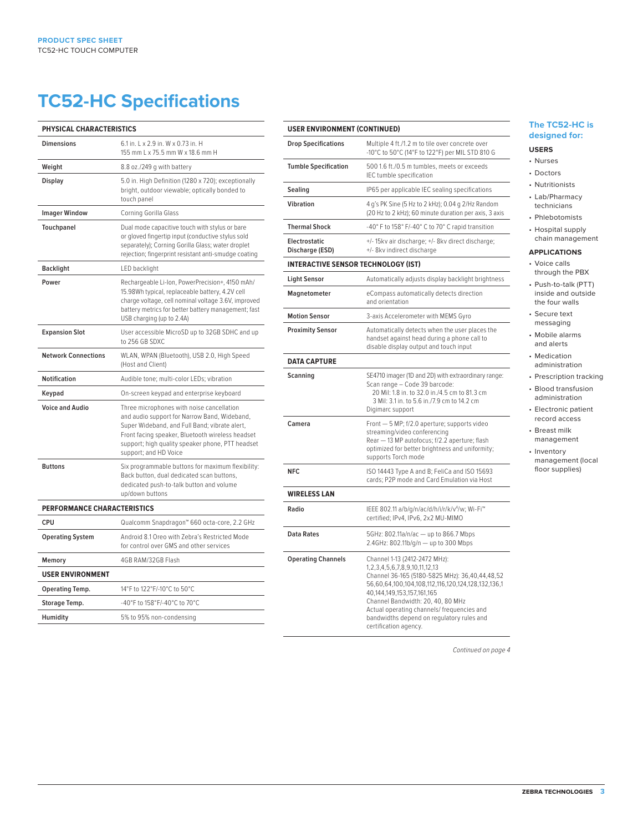# **TC52-HC Specifications**

| PHYSICAL CHARACTERISTICS    |                                                                                                                                                                                                                                                                             |
|-----------------------------|-----------------------------------------------------------------------------------------------------------------------------------------------------------------------------------------------------------------------------------------------------------------------------|
| <b>Dimensions</b>           | 6.1 in. L x 2.9 in. W x 0.73 in. H<br>155 mm L x 75.5 mm W x 18.6 mm H                                                                                                                                                                                                      |
| Weight                      | 8.8 oz./249 g with battery                                                                                                                                                                                                                                                  |
| Display                     | 5.0 in. High Definition (1280 x 720); exceptionally<br>bright, outdoor viewable; optically bonded to<br>touch panel                                                                                                                                                         |
| <b>Imager Window</b>        | Corning Gorilla Glass                                                                                                                                                                                                                                                       |
| Touchpanel                  | Dual mode capacitive touch with stylus or bare<br>or gloved fingertip input (conductive stylus sold<br>separately); Corning Gorilla Glass; water droplet<br>rejection; fingerprint resistant anti-smudge coating                                                            |
| <b>Backlight</b>            | LED backlight                                                                                                                                                                                                                                                               |
| Power                       | Rechargeable Li-Ion, PowerPrecision+, 4150 mAh/<br>15.98Wh typical, replaceable battery, 4.2V cell<br>charge voltage, cell nominal voltage 3.6V, improved<br>battery metrics for better battery management; fast<br>USB charging (up to 2.4A)                               |
| <b>Expansion Slot</b>       | User accessible MicroSD up to 32GB SDHC and up<br>to 256 GB SDXC                                                                                                                                                                                                            |
| <b>Network Connections</b>  | WLAN, WPAN (Bluetooth), USB 2.0, High Speed<br>(Host and Client)                                                                                                                                                                                                            |
| <b>Notification</b>         | Audible tone; multi-color LEDs; vibration                                                                                                                                                                                                                                   |
| Keypad                      | On-screen keypad and enterprise keyboard                                                                                                                                                                                                                                    |
| <b>Voice and Audio</b>      | Three microphones with noise cancellation<br>and audio support for Narrow Band, Wideband,<br>Super Wideband, and Full Band; vibrate alert,<br>Front facing speaker, Bluetooth wireless headset<br>support; high quality speaker phone, PTT headset<br>support; and HD Voice |
| <b>Buttons</b>              | Six programmable buttons for maximum flexibility:<br>Back button, dual dedicated scan buttons,<br>dedicated push-to-talk button and volume<br>up/down buttons                                                                                                               |
| PERFORMANCE CHARACTERISTICS |                                                                                                                                                                                                                                                                             |
| CPU                         | Qualcomm Snapdragon™ 660 octa-core, 2.2 GHz                                                                                                                                                                                                                                 |
| <b>Operating System</b>     | Android 8.1 Oreo with Zebra's Restricted Mode<br>for control over GMS and other services                                                                                                                                                                                    |
| Memory                      | 4GB RAM/32GB Flash                                                                                                                                                                                                                                                          |
| <b>USER ENVIRONMENT</b>     |                                                                                                                                                                                                                                                                             |
| Operating Temp.             | 14°F to 122°F/-10°C to 50°C                                                                                                                                                                                                                                                 |
| Storage Temp.               | -40°F to 158°F/-40°C to 70°C                                                                                                                                                                                                                                                |
| Humidity                    | 5% to 95% non-condensing                                                                                                                                                                                                                                                    |

# **USER ENVIRONMENT (CONTINUED)**

| <b>Drop Specifications</b>                 | Multiple 4 ft./1.2 m to tile over concrete over<br>-10°C to 50°C (14°F to 122°F) per MIL STD 810 G                                                                                                                                                                                                                                                                        |
|--------------------------------------------|---------------------------------------------------------------------------------------------------------------------------------------------------------------------------------------------------------------------------------------------------------------------------------------------------------------------------------------------------------------------------|
| <b>Tumble Specification</b>                | 500 1.6 ft./0.5 m tumbles, meets or exceeds<br>IEC tumble specification                                                                                                                                                                                                                                                                                                   |
| Sealing                                    | IP65 per applicable IEC sealing specifications                                                                                                                                                                                                                                                                                                                            |
| <b>Vibration</b>                           | 4 g's PK Sine (5 Hz to 2 kHz); 0.04 g 2/Hz Random<br>(20 Hz to 2 kHz); 60 minute duration per axis, 3 axis                                                                                                                                                                                                                                                                |
| <b>Thermal Shock</b>                       | -40° F to 158° F/-40° C to 70° C rapid transition                                                                                                                                                                                                                                                                                                                         |
| Electrostatic<br>Discharge (ESD)           | +/-15kv air discharge; +/-8kv direct discharge;<br>+/- 8kv indirect discharge                                                                                                                                                                                                                                                                                             |
| <b>INTERACTIVE SENSOR TECHNOLOGY (IST)</b> |                                                                                                                                                                                                                                                                                                                                                                           |
| Light Sensor                               | Automatically adjusts display backlight brightness                                                                                                                                                                                                                                                                                                                        |
| Magnetometer                               | eCompass automatically detects direction<br>and orientation                                                                                                                                                                                                                                                                                                               |
| <b>Motion Sensor</b>                       | 3-axis Accelerometer with MEMS Gyro                                                                                                                                                                                                                                                                                                                                       |
| <b>Proximity Sensor</b>                    | Automatically detects when the user places the<br>handset against head during a phone call to<br>disable display output and touch input                                                                                                                                                                                                                                   |
| <b>DATA CAPTURE</b>                        |                                                                                                                                                                                                                                                                                                                                                                           |
| Scanning                                   | SE4710 imager (1D and 2D) with extraordinary range:<br>Scan range - Code 39 barcode:<br>20 Mil: 1.8 in. to 32.0 in./4.5 cm to 81.3 cm<br>3 Mil: 3.1 in. to 5.6 in./7.9 cm to 14.2 cm<br>Digimarc support                                                                                                                                                                  |
| Camera                                     | Front - 5 MP; f/2.0 aperture; supports video<br>streaming/video conferencing<br>Rear - 13 MP autofocus; f/2.2 aperture; flash<br>optimized for better brightness and uniformity;<br>supports Torch mode                                                                                                                                                                   |
| <b>NFC</b>                                 | ISO 14443 Type A and B; FeliCa and ISO 15693<br>cards; P2P mode and Card Emulation via Host                                                                                                                                                                                                                                                                               |
| <b>WIRELESS LAN</b>                        |                                                                                                                                                                                                                                                                                                                                                                           |
| Radio                                      | IEEE 802.11 a/b/g/n/ac/d/h/i/r/k/v <sup>4</sup> /w; Wi-Fi <sup>™</sup><br>certified; IPv4, IPv6, 2x2 MU-MIMO                                                                                                                                                                                                                                                              |
| <b>Data Rates</b>                          | 5GHz: 802.11a/n/ac - up to 866.7 Mbps<br>2.4GHz: 802.11b/g/n - up to 300 Mbps                                                                                                                                                                                                                                                                                             |
| <b>Operating Channels</b>                  | Channel 1-13 (2412-2472 MHz):<br>1, 2, 3, 4, 5, 6, 7, 8, 9, 10, 11, 12, 13<br>Channel 36-165 (5180-5825 MHz): 36,40,44,48,52<br>56,60,64,100,104,108,112,116,120,124,128,132,136,1<br>40,144,149,153,157,161,165<br>Channel Bandwidth: 20, 40, 80 MHz<br>Actual operating channels/ frequencies and<br>bandwidths depend on regulatory rules and<br>certification agency. |

## **The TC52-HC is designed for:**

# **USERS**

- Nurses
- Doctors
- Nutritionists • Lab/Pharmacy technicians
- Phlebotomists
- Hospital supply chain management

## **APPLICATIONS**

- Voice calls through the PBX
- Push-to-talk (PTT) inside and outside the four walls
- Secure text messaging
- Mobile alarms and alerts
- Medication administration
- Prescription tracking
- Blood transfusion administration
- Electronic patient record access
- Breast milk management
- Inventory management (local floor supplies)

*Continued on page 4*